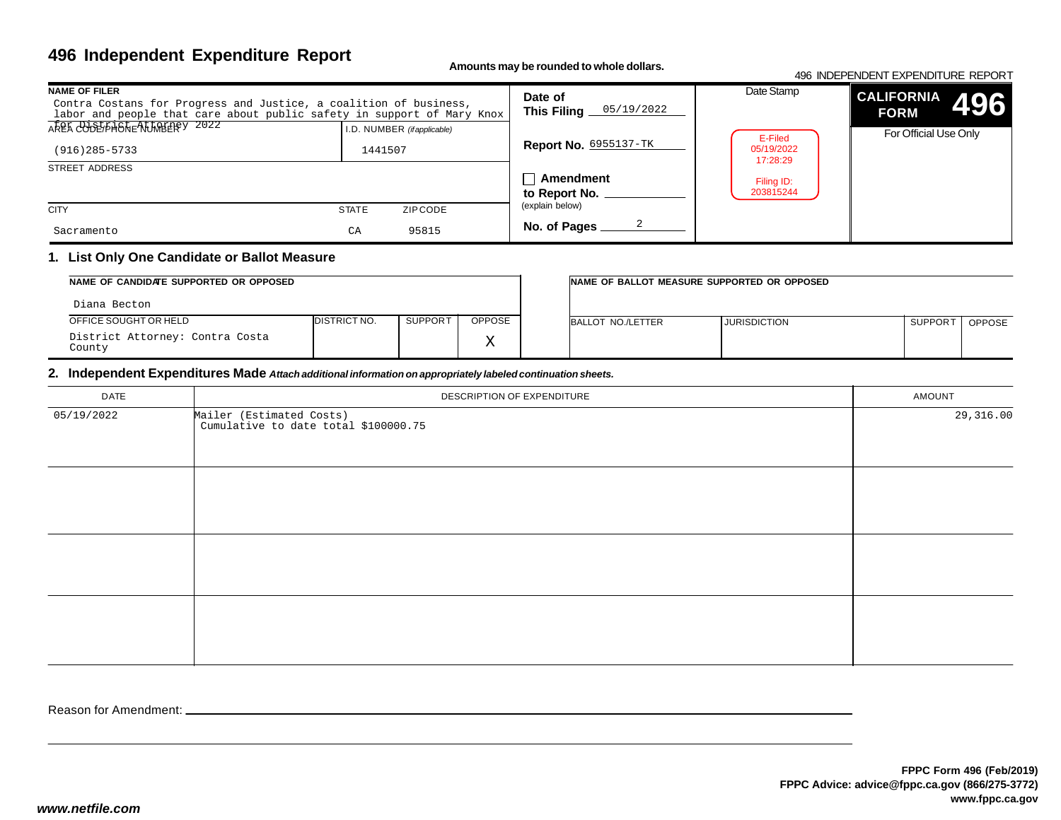# **496 Independent Expenditure Report**

**Amounts may be rounded to whole dollars.**

#### 496 INDEPENDENT EXPENDITURE REPORT

| <b>NAME OF FILER</b><br>Contra Costans for Progress and Justice, a coalition of business,<br>labor and people that care about public safety in support of Mary Knox | Date of<br>This Filing $0.5/19/2022$            | Date Stamp                   | <b>CALIFORNIA</b><br>496<br><b>FORM</b> |                       |  |
|---------------------------------------------------------------------------------------------------------------------------------------------------------------------|-------------------------------------------------|------------------------------|-----------------------------------------|-----------------------|--|
| AREA COUPLAND REALLABEREY 2022<br>$(916)$ 285-5733                                                                                                                  | I.D. NUMBER ( <i>if applicable</i> )<br>1441507 | <b>Report No. 6955137-TK</b> | E-Filed<br>05/19/2022<br>17:28:29       | For Official Use Only |  |
| STREET ADDRESS                                                                                                                                                      | $\Box$ Amendment<br>to Report No.               | Filing ID:<br>203815244      |                                         |                       |  |
| <b>CITY</b>                                                                                                                                                         | ZIP CODE<br><b>STATE</b>                        | (explain below)              |                                         |                       |  |
| Sacramento                                                                                                                                                          | 95815<br>CA                                     | No. of Pages                 |                                         |                       |  |

### **1. List Only One Candidate or Ballot Measure**

| NAME OF CANDIDATE SUPPORTED OR OPPOSED    |                      |         | INAME OF BALLOT MEASURE SUPPORTED OR OPPOSED |                   |                     |                     |               |
|-------------------------------------------|----------------------|---------|----------------------------------------------|-------------------|---------------------|---------------------|---------------|
| Diana Becton                              |                      |         |                                              |                   |                     |                     |               |
| OFFICE SOUGHT OR HELD                     | <b>IDISTRICT NO.</b> | SUPPORT | <b>OPPOSE</b>                                | BALLOT NO./LETTER | <b>JURISDICTION</b> | SUPPOR <sup>-</sup> | <b>OPPOSE</b> |
| District Attorney: Contra Costa<br>County |                      |         | $\tau$<br>△                                  |                   |                     |                     |               |

#### **2. Independent Expenditures Made** *Attach additional information on appropriately labeled continuation sheets.*

| <b>DATE</b> | DESCRIPTION OF EXPENDITURE                                       | AMOUNT    |
|-------------|------------------------------------------------------------------|-----------|
| 05/19/2022  | Mailer (Estimated Costs)<br>Cumulative to date total \$100000.75 | 29,316.00 |
|             |                                                                  |           |
|             |                                                                  |           |
|             |                                                                  |           |
|             |                                                                  |           |

Reason for Amendment: